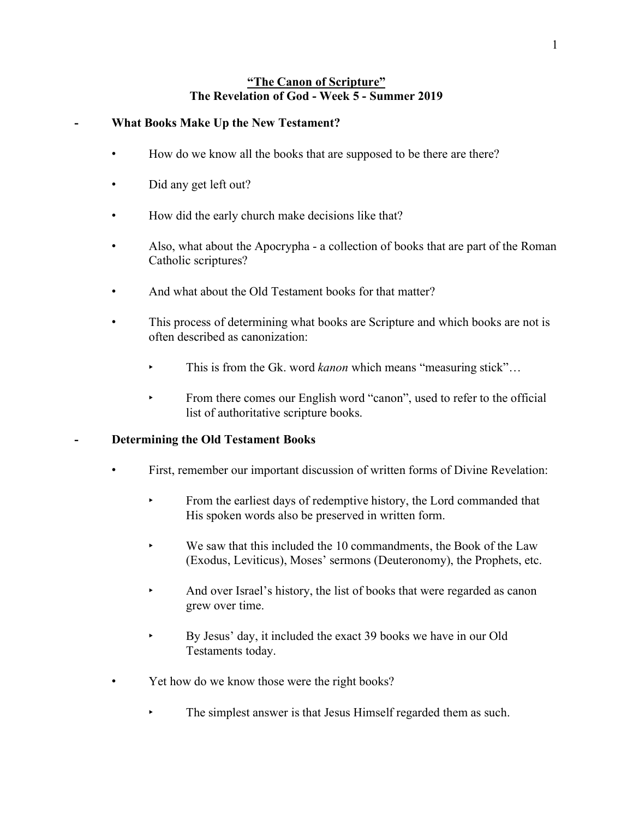### **"The Canon of Scripture" The Revelation of God - Week 5 - Summer 2019**

### **- What Books Make Up the New Testament?**

- How do we know all the books that are supposed to be there are there?
- Did any get left out?
- How did the early church make decisions like that?
- Also, what about the Apocrypha a collection of books that are part of the Roman Catholic scriptures?
- And what about the Old Testament books for that matter?
- This process of determining what books are Scripture and which books are not is often described as canonization:
	- This is from the Gk. word *kanon* which means "measuring stick"...
	- ‣ From there comes our English word "canon", used to refer to the official list of authoritative scripture books.

### **- Determining the Old Testament Books**

- First, remember our important discussion of written forms of Divine Revelation:
	- ‣ From the earliest days of redemptive history, the Lord commanded that His spoken words also be preserved in written form.
	- $\blacktriangleright$  We saw that this included the 10 commandments, the Book of the Law (Exodus, Leviticus), Moses' sermons (Deuteronomy), the Prophets, etc.
	- And over Israel's history, the list of books that were regarded as canon grew over time.
	- By Jesus' day, it included the exact 39 books we have in our Old Testaments today.
- Yet how do we know those were the right books?
	- The simplest answer is that Jesus Himself regarded them as such.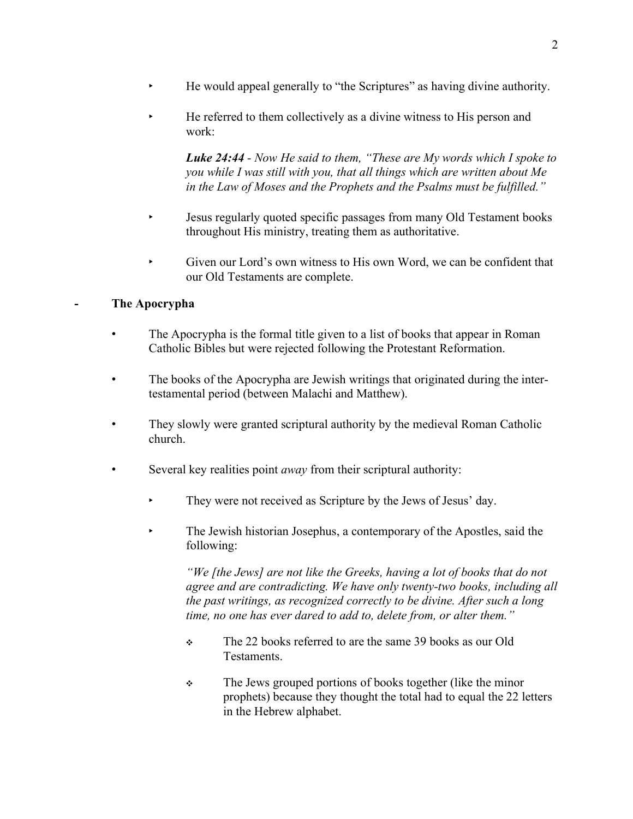- ‣ He would appeal generally to "the Scriptures" as having divine authority.
- ‣ He referred to them collectively as a divine witness to His person and work:

*Luke 24:44 - Now He said to them, "These are My words which I spoke to you while I was still with you, that all things which are written about Me in the Law of Moses and the Prophets and the Psalms must be fulfilled."*

- ‣ Jesus regularly quoted specific passages from many Old Testament books throughout His ministry, treating them as authoritative.
- ‣ Given our Lord's own witness to His own Word, we can be confident that our Old Testaments are complete.

# **- The Apocrypha**

- The Apocrypha is the formal title given to a list of books that appear in Roman Catholic Bibles but were rejected following the Protestant Reformation.
- The books of the Apocrypha are Jewish writings that originated during the intertestamental period (between Malachi and Matthew).
- They slowly were granted scriptural authority by the medieval Roman Catholic church.
- Several key realities point *away* from their scriptural authority:
	- They were not received as Scripture by the Jews of Jesus' day.
	- ‣ The Jewish historian Josephus, a contemporary of the Apostles, said the following:

*"We [the Jews] are not like the Greeks, having a lot of books that do not agree and are contradicting. We have only twenty-two books, including all the past writings, as recognized correctly to be divine. After such a long time, no one has ever dared to add to, delete from, or alter them."*

- ❖ The 22 books referred to are the same 39 books as our Old Testaments.
- ❖ The Jews grouped portions of books together (like the minor prophets) because they thought the total had to equal the 22 letters in the Hebrew alphabet.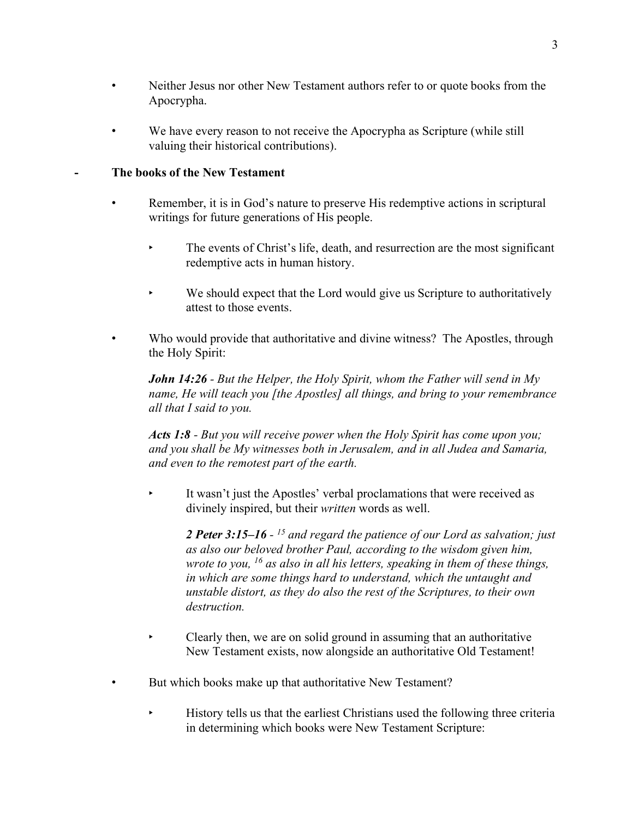- Neither Jesus nor other New Testament authors refer to or quote books from the Apocrypha.
- We have every reason to not receive the Apocrypha as Scripture (while still valuing their historical contributions).

## **- The books of the New Testament**

- Remember, it is in God's nature to preserve His redemptive actions in scriptural writings for future generations of His people.
	- ‣ The events of Christ's life, death, and resurrection are the most significant redemptive acts in human history.
	- ‣ We should expect that the Lord would give us Scripture to authoritatively attest to those events.
- Who would provide that authoritative and divine witness? The Apostles, through the Holy Spirit:

*John 14:26 - But the Helper, the Holy Spirit, whom the Father will send in My name, He will teach you [the Apostles] all things, and bring to your remembrance all that I said to you.*

*Acts 1:8 - But you will receive power when the Holy Spirit has come upon you; and you shall be My witnesses both in Jerusalem, and in all Judea and Samaria, and even to the remotest part of the earth.*

It wasn't just the Apostles' verbal proclamations that were received as divinely inspired, but their *written* words as well.

*2 Peter 3:15–16 - <sup>15</sup> and regard the patience of our Lord as salvation; just as also our beloved brother Paul, according to the wisdom given him, wrote to you, <sup>16</sup> as also in all his letters, speaking in them of these things, in which are some things hard to understand, which the untaught and unstable distort, as they do also the rest of the Scriptures, to their own destruction.*

- ‣ Clearly then, we are on solid ground in assuming that an authoritative New Testament exists, now alongside an authoritative Old Testament!
- But which books make up that authoritative New Testament?
	- ‣ History tells us that the earliest Christians used the following three criteria in determining which books were New Testament Scripture: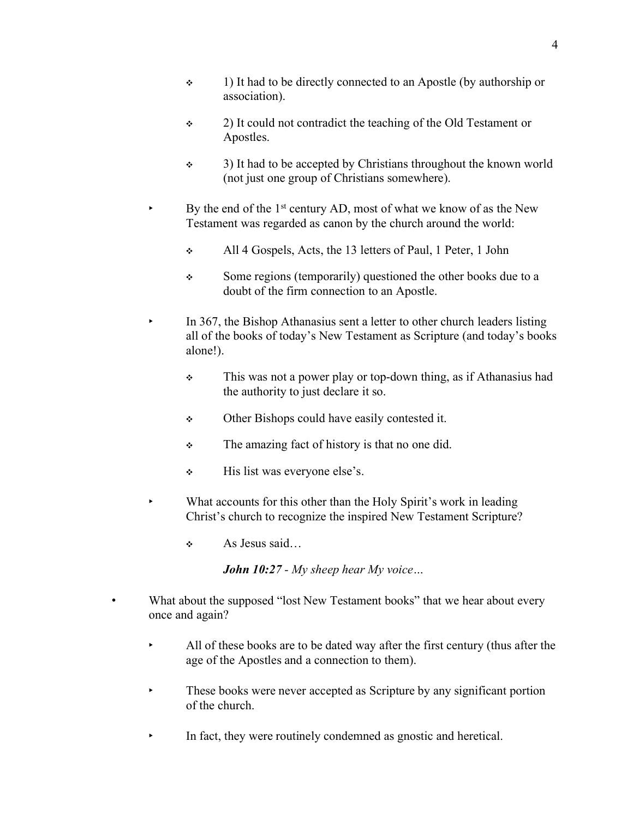- ❖ 1) It had to be directly connected to an Apostle (by authorship or association).
- ❖ 2) It could not contradict the teaching of the Old Testament or Apostles.
- ❖ 3) It had to be accepted by Christians throughout the known world (not just one group of Christians somewhere).
- By the end of the  $1<sup>st</sup>$  century AD, most of what we know of as the New Testament was regarded as canon by the church around the world:
	- ❖ All 4 Gospels, Acts, the 13 letters of Paul, 1 Peter, 1 John
	- ❖ Some regions (temporarily) questioned the other books due to a doubt of the firm connection to an Apostle.
- In 367, the Bishop Athanasius sent a letter to other church leaders listing all of the books of today's New Testament as Scripture (and today's books alone!).
	- ❖ This was not a power play or top-down thing, as if Athanasius had the authority to just declare it so.
	- ❖ Other Bishops could have easily contested it.
	- ❖ The amazing fact of history is that no one did.
	- ❖ His list was everyone else's.
	- What accounts for this other than the Holy Spirit's work in leading Christ's church to recognize the inspired New Testament Scripture?
		- ❖ As Jesus said…

*John 10:27 - My sheep hear My voice…*

- What about the supposed "lost New Testament books" that we hear about every once and again?
	- All of these books are to be dated way after the first century (thus after the age of the Apostles and a connection to them).
	- These books were never accepted as Scripture by any significant portion of the church.
	- In fact, they were routinely condemned as gnostic and heretical.